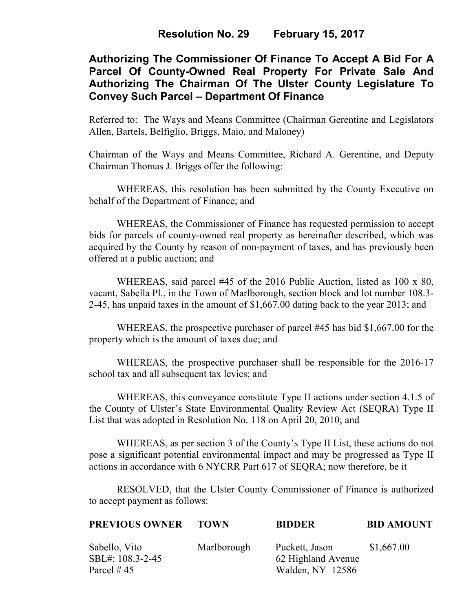## **Resolution No. 29 February 15, 2017**

# **Authorizing The Commissioner Of Finance To Accept A Bid For A Parcel Of County-Owned Real Property For Private Sale And Authorizing The Chairman Of The Ulster County Legislature To Convey Such Parcel – Department Of Finance**

Referred to: The Ways and Means Committee (Chairman Gerentine and Legislators Allen, Bartels, Belfiglio, Briggs, Maio, and Maloney)

Chairman of the Ways and Means Committee, Richard A. Gerentine, and Deputy Chairman Thomas J. Briggs offer the following:

WHEREAS, this resolution has been submitted by the County Executive on behalf of the Department of Finance; and

 WHEREAS, the Commissioner of Finance has requested permission to accept bids for parcels of county-owned real property as hereinafter described, which was acquired by the County by reason of non-payment of taxes, and has previously been offered at a public auction; and

WHEREAS, said parcel #45 of the 2016 Public Auction, listed as 100 x 80, vacant, Sabella Pl., in the Town of Marlborough, section block and lot number 108.3- 2-45, has unpaid taxes in the amount of \$1,667.00 dating back to the year 2013; and

WHEREAS, the prospective purchaser of parcel #45 has bid \$1,667.00 for the property which is the amount of taxes due; and

 WHEREAS, the prospective purchaser shall be responsible for the 2016-17 school tax and all subsequent tax levies; and

WHEREAS, this conveyance constitute Type II actions under section 4.1.5 of the County of Ulster's State Environmental Quality Review Act (SEQRA) Type II List that was adopted in Resolution No. 118 on April 20, 2010; and

 WHEREAS, as per section 3 of the County's Type II List, these actions do not pose a significant potential environmental impact and may be progressed as Type II actions in accordance with 6 NYCRR Part 617 of SEQRA; now therefore, be it

RESOLVED, that the Ulster County Commissioner of Finance is authorized to accept payment as follows:

| <b>PREVIOUS OWNER</b>                             | <b>TOWN</b> | <b>BIDDER</b>                                            | <b>BID AMOUNT</b> |
|---------------------------------------------------|-------------|----------------------------------------------------------|-------------------|
| Sabello, Vito<br>SBL#: 108.3-2-45<br>Parcel $#45$ | Marlborough | Puckett, Jason<br>62 Highland Avenue<br>Walden, NY 12586 | \$1,667.00        |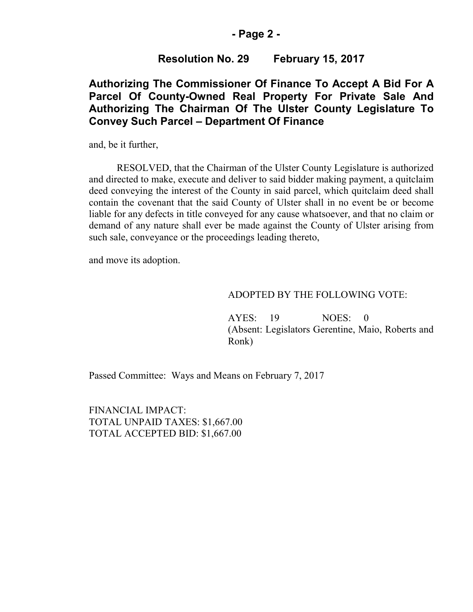#### **- Page 2 -**

### **Resolution No. 29 February 15, 2017**

## **Authorizing The Commissioner Of Finance To Accept A Bid For A Parcel Of County-Owned Real Property For Private Sale And Authorizing The Chairman Of The Ulster County Legislature To Convey Such Parcel – Department Of Finance**

and, be it further,

RESOLVED, that the Chairman of the Ulster County Legislature is authorized and directed to make, execute and deliver to said bidder making payment, a quitclaim deed conveying the interest of the County in said parcel, which quitclaim deed shall contain the covenant that the said County of Ulster shall in no event be or become liable for any defects in title conveyed for any cause whatsoever, and that no claim or demand of any nature shall ever be made against the County of Ulster arising from such sale, conveyance or the proceedings leading thereto,

and move its adoption.

#### ADOPTED BY THE FOLLOWING VOTE:

AYES: 19 NOES: 0 (Absent: Legislators Gerentine, Maio, Roberts and Ronk)

Passed Committee: Ways and Means on February 7, 2017

FINANCIAL IMPACT: TOTAL UNPAID TAXES: \$1,667.00 TOTAL ACCEPTED BID: \$1,667.00